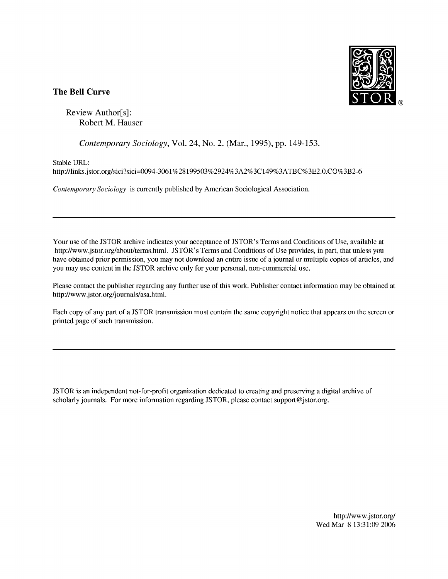

## **The Bell Curve**

Review Author[s] : Robert M. Hauser

Contemporary Sociology, Vol. 24, No. 2. (Mar., 1995), pp. 149-153.

Stable URL:

http://links.jstor.org/sici?sici=0094-30618 199503%2924%3A2%3C 149%3ATBC%3E2.O.C0%3B2-6

Contemporary Sociology is currently published by American Sociological Association.

Your use of the JSTOR archive indicates your acceptance of JSTOR's Terms and Conditions of Use, available at http://www.jstor.org/about/terms.html. JSTOR's Terms and Conditions of Use provides, in part, that unless you have obtained prior permission, you may not download an entire issue of a journal or multiple copies of articles, and you may use content in the JSTOR archive only for your personal, non-commercial use.

Please contact the publisher regarding any further use of this work. Publisher contact information may be obtained at http://www.jstor.org/journals/asa.html.

Each copy of any part of a JSTOR transmission must contain the same copyright notice that appears on the screen or printed page of such transmission.

JSTOR is an independent not-for-profit organization dedicated to creating and preserving a digital archive of scholarly journals. For more information regarding JSTOR, please contact support@jstor.org.

> http://www.jstor.org/ WedMar 8 13:31:09 2006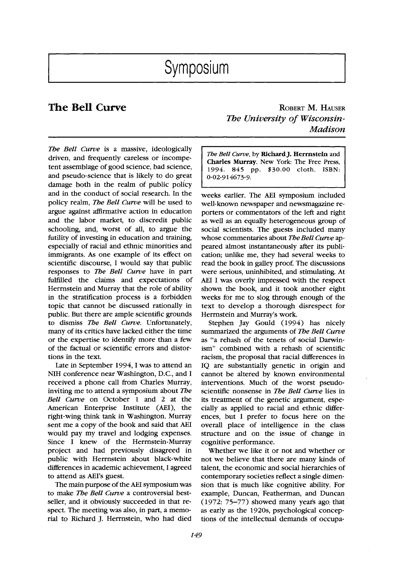*The Bell Curve* is a massive, ideologically driven, and frequently careless or incompetent assemblage of good science, bad science, and pseudo-science that is likely to do great damage both in the realm of public policy and in the conduct of social research. In the policy realm, *The Bell Curve* will be used to argue against affirmative action in education and the labor market, to discredit public schooling, and, worst of all, to argue the futility of investing in education and training, especially of racial and ethnic minorities and immigrants. As one example of its effect on scientific discourse, I would say that public responses to *The Bell Curve* have in part fulfilled the claims and expectations of Herrnstein and Murray that the role of ability in the stratification process is a forbidden topic that cannot be discussed rationally in public. But there are ample scientific grounds to dismiss *The Bell Curve.* Unfortunately, many of its critics have lacked either the time or the expertise to identify more than a few of the factual or scientific errors and distortions in the text.

Late in September 1994, I was to attend an NIH conference near Washington, D.C., and I received a phone call from Charles Murray, inviting me to attend a symposium about *The Bell Curve* on October 1 and 2 at the American Enterprise Institute (AEI), the right-wing think tank in Washington. Murray sent me a copy of the book and said that AEI would pay my travel and lodging expenses. Since I knew of the Herrnstein-Murray project and had previously disagreed in public with Herrnstein about black-white differences in academic achievement, I agreed to attend as AEI's guest.

The main purpose of the AEI symposium was to make *The Bell Curve* a controversial best- seller, and it obviously succeeded in that respect. The meeting was also, in part, a memorial to Richard J. Herrnstein, who had died

**The Bell Curve ROBERT M. HAUSER** *The University of Wisconsin-Madison* 

> The Bell Curve, by Richard J. Herrnstein and **Charles Murray.** New York: The Free Press, *1994. 845* pp. *\$30.00 cloth.* ISBN: *0-02-914673-9.*

weeks earlier. The AEI symposium included well-known newspaper and newsmagazine reporters or commentators of the left and right as well as an equally heterogeneous group of social scientists. The guests included many whose commentaries about *The Bell Curve* appeared almost instantaneously after its publication; unlike me, they had several weeks to read the book in galley proof. The discussions were serious, uninhibited, and stimulating. At AEI I was overly impressed with the respect shown the book, and it took another eight weeks for me to slog through enough of the text to develop a thorough disrespect for Herrnstein and Murray's work.

Stephen Jay Gould (1994) has nicely summarized the arguments of *The Bell Curve*  as "a rehash of the tenets of social Darwinism" combined with a rehash of scientific racism, the proposal that racial differences in IQ are substantially genetic in origin and cannot be altered by known environmental interventions. Much of the worst pseudoscientific nonsense in *The Bell Curve* lies in its treatment of the genetic argument, especially as applied to racial and ethnic differences, but I prefer to focus here on the overall place of intelligence in the class structure and on the issue of change in cognitive performance.

Whether we like it or not and whether or not we believe that there are many kinds of talent, the economic and social hierarchies of contemporary societies reflect a single dimension that is much like cognitive ability. For example, Duncan, Featherman, and Duncan (1972: 75-77) showed many years ago that as early as the 1920s, psychological conceptions of the intellectual demands of occupa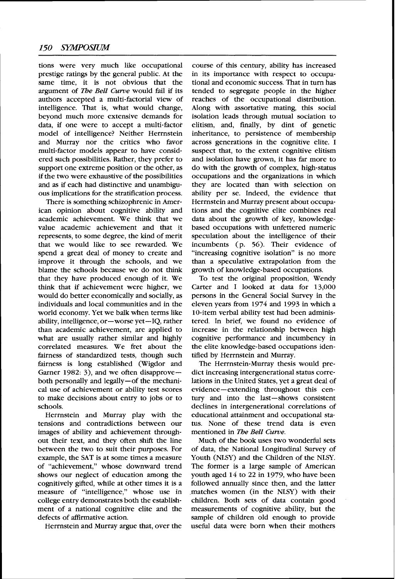tions were very much like occupational prestige ratings by the general public. At the same time, it is not obvious that the argument of *The Bell Curve* would fail if its authors accepted a multi-factorial view of intelligence. That is, what would change, beyond much more extensive demands for data, if one were to accept a multi-factor model of intelligence? Neither Herrnstein and Murray nor the critics who favor multi-factor models appear to have considered such possibilities. Rather, they prefer to support one extreme position or the other, as if the two were exhaustive of the possibilities and as if each had distinctive and unambiguous implications for the stratification process.

There is something schizophrenic in American opinion about cognitive ability and academic achievement. We think that we value academic achievement and that it represents, to some degree, the kind of merit that we would like to see rewarded. We spend a great deal of money to create and improve it through the schools, and we blame the schools because we do not think that they have produced enough of it. We think that if achievement were higher, we would do better economically and socially, as individuals and local communities and in the world economy. Yet we balk when terms like ability, intelligence, or-worse yet-IQ, rather than academic achievement, are applied to what are usually rather similar and highly correlated measures. We fret about the fairness of standardized tests, though such fairness is long established (Wigdor and Garner 1982: 3), and we often disapprove $$ both personally and legally-of the mechanical use of achievement or ability test scores to make decisions about entry to jobs or to schools.

Herrnstein and Murray play with the tensions and contradictions between our images of ability and achievement throughout their text, and they often shift the line between the two to suit their purposes. For example, the SAT is at some times a measure of "achievement," whose downward trend shows our neglect of education among the cognitively gifted, while at other times it is a measure of "intelligence," whose use in college entry demonstrates both the establishment of a national cognitive elite and the defects of affirmative action.

Herrnstein and Murray argue that, over the

course of this century, ability has increased in its importance with respect to occupational and economic success. That in turn has tended to segregate people in the higher reaches of the occupational distribution. Along with assortative mating, this social isolation leads through mutual sociation to elitism, and, finally, by dint of genetic inheritance, to persistence of membership across generations in the cognitive elite. I suspect that, to the extent cognitive elitism and isolation have grown, it has far more to do with the growth of complex, high-status occupations and the organizations in which they are located than with selection on ability per se. Indeed, the evidence that Herrnstein and Murray present about occupations and the cognitive elite combines real data about the growth of key, knowledgebased occupations with unfettered numeric speculation about the intelligence of their incumbents (p. 56). Their evidence of "increasing cognitive isolation" is no more than a speculative extrapolation from the growth of knowledge-based occupations.

To test the original proposition, Wendy Carter and I looked at data for 13,000 persons in the General Social Survey in the eleven years from 1974 and 1993 in which a 10-item verbal ability test had been administered. In brief, we found no evidence of increase in the relationship between high cognitive performance and incumbency in the elite knowledge-based occupations identified by Herrnstein and Murray.

The Herrnstein-Murray thesis would predict increasing intergenerational status correlations in the United States, yet a great deal of evidence- extending throughout this century and into the last-shows consistent declines in intergenerational correlations of educational attainment and occupational status. None of these trend data is even mentioned in *The Bell Curve.* 

Much of the book uses two wonderful sets of data, the National Longitudinal Survey of Youth (NLSY) and the Children of the NLSY. The former is a large sample of American youth aged 14 to 22 in 1979, who have been followed annually since then, and the latter .matches women (in the NLSY) with their children. Both sets of data contain good measurements of cognitive ability, but the sample of children old enough to provide useful data were born when their mothers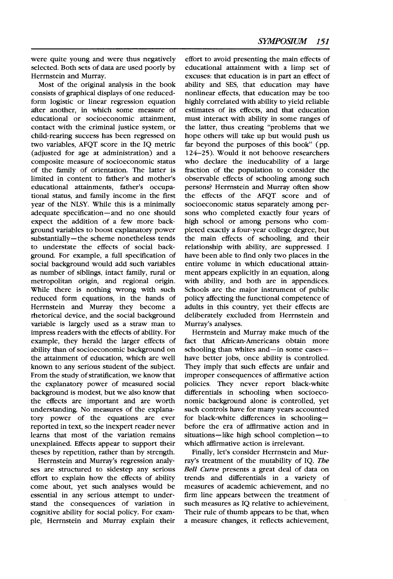were quite young and were thus negatively selected. Both sets of data are used poorly by Herrnstein and Murray.

Most of the original analysis in the book consists of graphical displays of one reducedform logistic or linear regression equation after another, in which some measure of educational or socioeconomic attainment, contact with the criminal justice system, or child-rearing success has been regressed on two variables, AFQT score in the IQ metric (adjusted for age at administration) and a composite measure of socioeconomic status of the family of orientation. The latter is limited in content to father's and mother's educational attainments, father's occupational status, and family income in the first year of the NLSY. While this is a minimally adequate specification-and no one should expect the addition of a few more background variables to boost explanatory power substantially-the scheme nonetheless tends to understate the effects of social background. For example, a full specification of social background would add such variables as number of siblings, intact family, rural or metropolitan origin, and regional origin. While there is nothing wrong with such reduced form equations, in the hands of Herrnstein and Murray they become a rhetorical device, and the social background variable is largely used as a straw man to impress readers with the effects of ability. For example, they herald the larger effects of ability than of socioeconomic background on the attainment of education, which are well known to any serious student of the subject. From the study of stratification, we know that the explanatory power of measured social background is modest, but we also know that the effects are important and are worth understanding. No measures of the explanatory power of the equations are ever reported in text, so the inexpert reader never learns that most of the variation remains unexplained. Effects appear to support their theses by repetition, rather than by strength.

Herrnstein and Murray's regression analyses are structured to sidestep any serious effort to explain how the effects of ability come about, yet such analyses would be essential in any serious attempt to understand the consequences of variation in cognitive ability for social policy. For example, Herrnstein and Murray explain their effort to avoid presenting the main effects of educational attainment with a limp set of excuses: that education is in part an effect of ability and SES, that education may have nonlinear effects, that education may be too highly correlated with ability to yield reliable estimates of its effects, and that education must interact with ability in some ranges of the latter, thus creating "problems that we hope others will take up but would push us far beyond the purposes of this book"  $(pp)$ . 124-25). Would it not behoove researchers who declare the ineducability of a large fraction of the population to consider the observable effects of schooling among such persons? Herrnstein and Murray often show the effects of the AFQT score and of socioeconomic status separately among persons who completed exactly four years of high school or among persons who completed exactly a four-year college degree, but the main effects of schooling, and their relationship with ability, are suppressed. I have been able to find only two places in the entire volume in which educational attainment appears explicitly in an equation, along with ability, and both are in appendices. Schools are the major instrument of public policy affecting the functional competence of adults in this country, yet their effects are deliberately excluded from Herrnstein and Murray's analyses.

Herrnstein and Murray make much of the fact that African-Americans obtain more schooling than whites and-in some caseshave better jobs, once ability is controlled. They imply that such effects are unfair and improper consequences of affirmative action policies. They never report black-white differentials in schooling when socioeconomic background alone is controlled, yet such controls have for many years accounted for black-white differences in schoolingbefore the era of affirmative action and in situations-like high school completion-to which affirmative action is irrelevant.

Finally, let's consider Herrnstein and Murray's treatment of the mutability of IQ. *The Bell Curve* presents a great deal of data on trends and differentials in a variety of measures of academic achievement, and no firm line appears between the treatment of such measures as IQ relative to achievement. Their rule of thumb appears to be that, when a measure changes, it reflects achievement,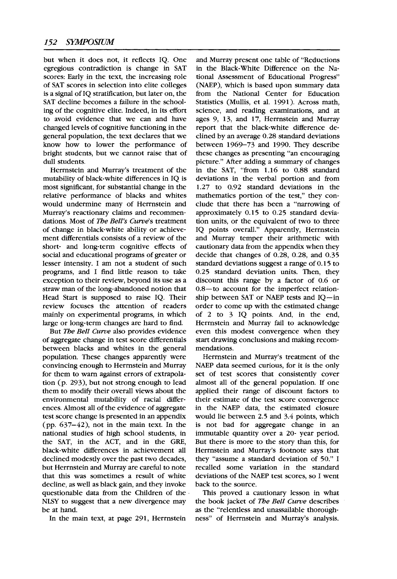but when it does not, it reflects IQ. One egregious contradiction is change in SAT scores: Early in the text, the increasing role of SAT scores in selection into elite colleges is a signal of IQ stratification, but later on, the SAT decline becomes a failure in the schooling of the cognitive elite. Indeed, in its effort to avoid evidence that we can and have changed levels of cognitive functioning in the general population, the text declares that we know how to lower the performance of bright students, but we cannot raise that of dull students.

Herrnstein and Murray's treatment of the mutability of black-white differences in IQ is most significant, for substantial change in the relative performance of blacks and whites would undermine many of Herrnstein and Murray's reactionary claims and recommendations. Most of The Bell's Curve's treatment of change in black-white ability or achievement differentials consists of a review of the short- and long-term cognitive effects of social and educational programs of greater or lesser intensity. I am not a student of such programs, and I find little reason to take exception to their review, beyond its use as a straw man of the long-abandoned notion that Head Start is supposed to raise IQ. Their review focuses the attention of readers mainly on experimental programs, in which large or long-term changes are hard to find.

But The Bell Curve also provides evidence of aggregate change in test score differentials between blacks and whites in the general population. These changes apparently were convincing enough to Herrnstein and Murray for them to warn against errors of extrapolation (p. **293),** but not strong enough to lead them to modify their overall views about the environmental mutability of racial differences. Almost all of the evidence of aggregate test score change is presented in an appendix (pp. **637-42),** not in the main text. In the national studies of high school students, in the SAT, in the ACT, and in the GRE, black-white differences in achievement all declined modestly over the past two decades, but Herrnstein and Murray are careful to note that this was sometimes a result of white decline, as well as black gain, and they invoke questionable data from the Children of the NLSY to suggest that a new divergence may be at hand.

In the main text, at page **291,** Herrnstein

and Murray present one table of "Reductions in the Black-White Difference on the National Assessment of Educational Progress" (NAEP), which is based upon summary data from the National Center for Education Statistics (Mullis, et al. **1991).** Across math, science, and reading examinations, and at ages **9, 13,** and **17,** Herrnstein and Murray report that the black-white difference declined by an average **0.28** standard deviations between **1969-73** and **1990.** They describe these changes as presenting "an encouraging picture." After adding a summary of changes in the SAT, "from **1.16** to **0.88** standard deviations in the verbal portion and from **1.27** to **0.92** standard deviations in the mathematics portion of the test," they conclude that there has been a "narrowing of approximately **0.15** to **0.25** standard deviation units, or the equivalent of two to three IQ points overall." Apparently, Herrnstein and Murray temper their arithmetic with cautionary data from the appendix when they decide that changes of **0.28, 0.28,** and **0.35**  standard deviations suggest a range of **0.15** to **0.25** standard deviation units. Then, they discount this range by a factor of **0.6** or 0.8-to account for the imperfect relationship between SAT or NAEP tests and IQ-in order to come up with the estimated change of **2** to **3** IQ points. And, in the end, Herrnstein and Murray fail to acknowledge even this modest convergence when they start drawing conclusions and making recommendations.

Herrnstein and Murray's treatment of the NAEP data seemed curious, for it is the only set of test scores that consistently cover almost all of the general population. If one applied their range of discount factors to their estimate of the test score convergence in the NAEP data, the estimated closure would lie between **2.5** and **3.4** points, which is not bad for aggregate change in an immutable quantity over a **20-** year period. But there is more to the story than this, for Herrnstein and Murray's footnote says that they "assume a standard deviation of **50."** I recalled some variation in the standard deviations of the NAEP test scores, so I went back to the source.

This proved a cautionary lesson in what the book jacket of The Bell Curve describes as the "relentless and unassailable thoroughness" of Herrnstein and Murray's analysis.